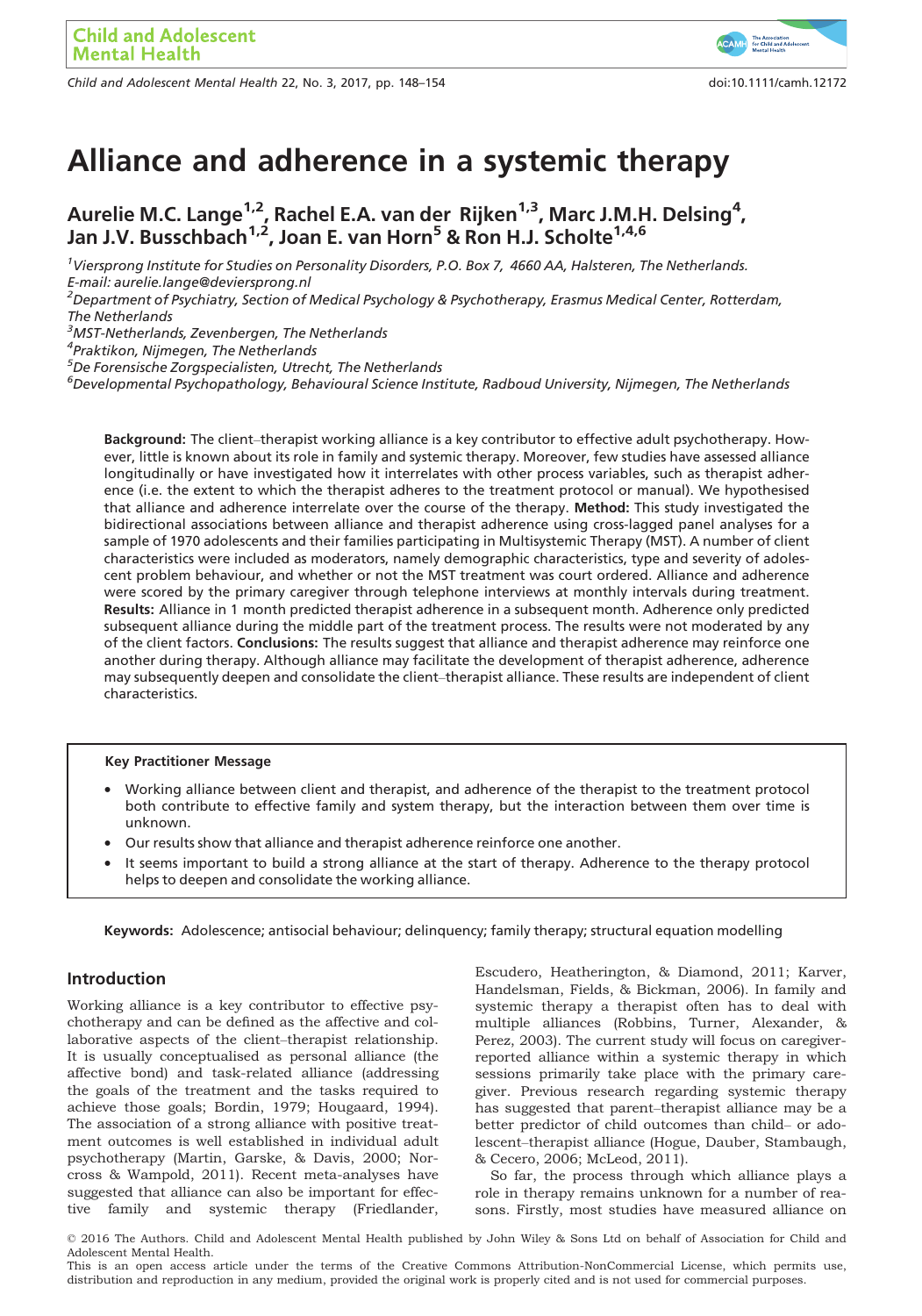Child and Adolescent Mental Health 22, No. 3, 2017, pp. 148–154 doi:10.1111/camh.12172



# Alliance and adherence in a systemic therapy

Aurelie M.C. Lange<sup>1,2</sup>, Rachel E.A. van der Rijken<sup>1,3</sup>, Marc J.M.H. Delsing<sup>4</sup>, Jan J.V. Busschbach<sup>1,2</sup>, Joan E. van Horn<sup>5</sup> & Ron H.J. Scholte<sup>1,4,6</sup>

<sup>1</sup> Viersprong Institute for Studies on Personality Disorders, P.O. Box 7, 4660 AA, Halsteren, The Netherlands. E-mail: aurelie.lange@deviersprong.nl

<sup>2</sup>Department of Psychiatry, Section of Medical Psychology & Psychotherapy, Erasmus Medical Center, Rotterdam, The Netherlands

 ${}^{3}$ MST-Netherlands, Zevenbergen, The Netherlands

4 Praktikon, Nijmegen, The Netherlands

5 De Forensische Zorgspecialisten, Utrecht, The Netherlands

 $^6$ Developmental Psychopathology, Behavioural Science Institute, Radboud University, Nijmegen, The Netherlands

Background: The client–therapist working alliance is a key contributor to effective adult psychotherapy. However, little is known about its role in family and systemic therapy. Moreover, few studies have assessed alliance longitudinally or have investigated how it interrelates with other process variables, such as therapist adherence (i.e. the extent to which the therapist adheres to the treatment protocol or manual). We hypothesised that alliance and adherence interrelate over the course of the therapy. Method: This study investigated the bidirectional associations between alliance and therapist adherence using cross-lagged panel analyses for a sample of 1970 adolescents and their families participating in Multisystemic Therapy (MST). A number of client characteristics were included as moderators, namely demographic characteristics, type and severity of adolescent problem behaviour, and whether or not the MST treatment was court ordered. Alliance and adherence were scored by the primary caregiver through telephone interviews at monthly intervals during treatment. Results: Alliance in 1 month predicted therapist adherence in a subsequent month. Adherence only predicted subsequent alliance during the middle part of the treatment process. The results were not moderated by any of the client factors. Conclusions: The results suggest that alliance and therapist adherence may reinforce one another during therapy. Although alliance may facilitate the development of therapist adherence, adherence may subsequently deepen and consolidate the client–therapist alliance. These results are independent of client characteristics.

#### Key Practitioner Message

- Working alliance between client and therapist, and adherence of the therapist to the treatment protocol both contribute to effective family and system therapy, but the interaction between them over time is unknown.
- Our results show that alliance and therapist adherence reinforce one another.
- It seems important to build a strong alliance at the start of therapy. Adherence to the therapy protocol helps to deepen and consolidate the working alliance.

Keywords: Adolescence; antisocial behaviour; delinquency; family therapy; structural equation modelling

# Introduction

Working alliance is a key contributor to effective psychotherapy and can be defined as the affective and collaborative aspects of the client–therapist relationship. It is usually conceptualised as personal alliance (the affective bond) and task-related alliance (addressing the goals of the treatment and the tasks required to achieve those goals; Bordin, 1979; Hougaard, 1994). The association of a strong alliance with positive treatment outcomes is well established in individual adult psychotherapy (Martin, Garske, & Davis, 2000; Norcross & Wampold, 2011). Recent meta-analyses have suggested that alliance can also be important for effective family and systemic therapy (Friedlander,

Escudero, Heatherington, & Diamond, 2011; Karver, Handelsman, Fields, & Bickman, 2006). In family and systemic therapy a therapist often has to deal with multiple alliances (Robbins, Turner, Alexander, & Perez, 2003). The current study will focus on caregiverreported alliance within a systemic therapy in which sessions primarily take place with the primary caregiver. Previous research regarding systemic therapy has suggested that parent–therapist alliance may be a better predictor of child outcomes than child– or adolescent–therapist alliance (Hogue, Dauber, Stambaugh, & Cecero, 2006; McLeod, 2011).

So far, the process through which alliance plays a role in therapy remains unknown for a number of reasons. Firstly, most studies have measured alliance on

© 2016 The Authors. Child and Adolescent Mental Health published by John Wiley & Sons Ltd on behalf of Association for Child and Adolescent Mental Health.

This is an open access article under the terms of the [Creative Commons Attribution-NonCommercial](http://creativecommons.org/licenses/by-nc/4.0/) License, which permits use, distribution and reproduction in any medium, provided the original work is properly cited and is not used for commercial purposes.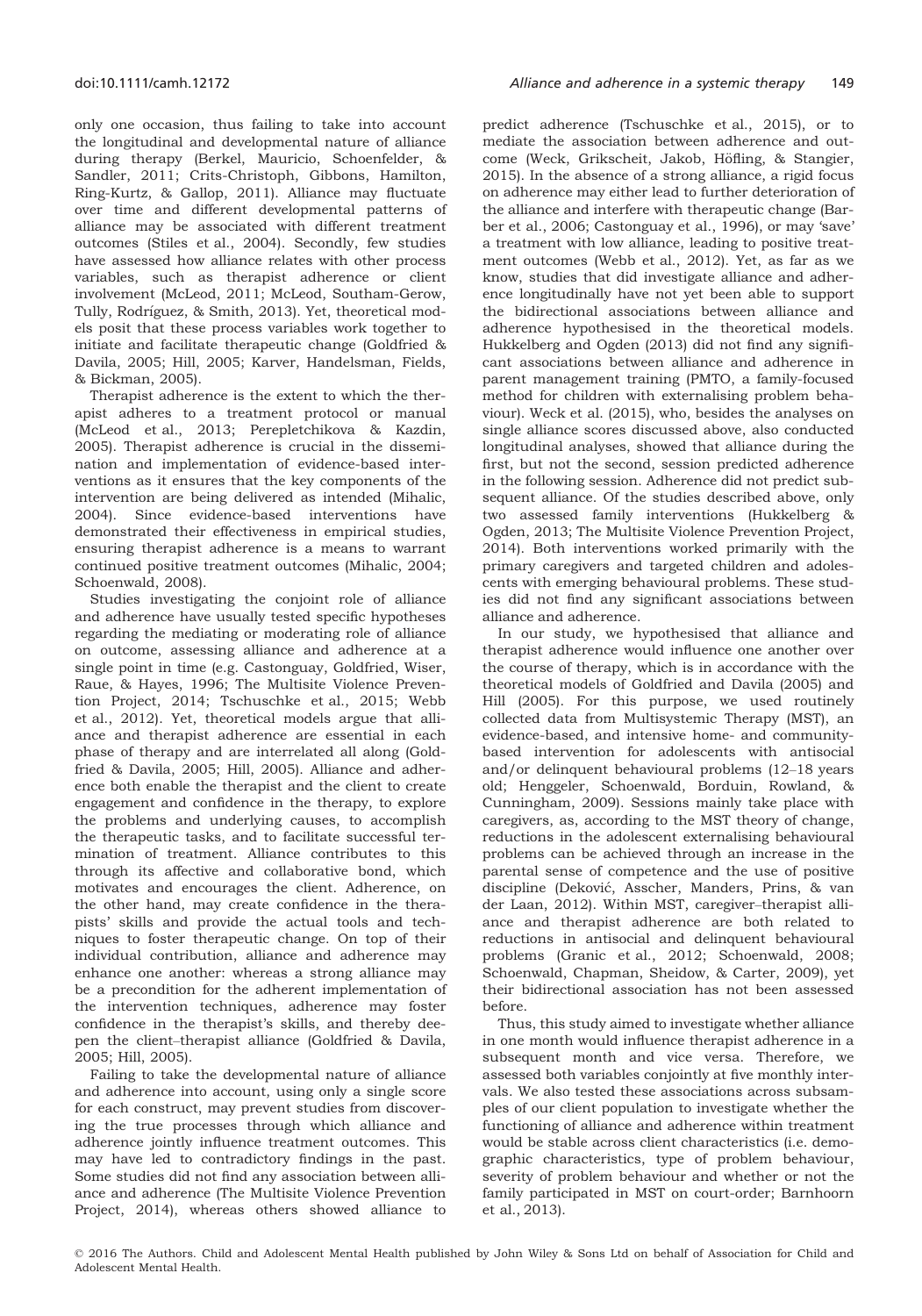only one occasion, thus failing to take into account the longitudinal and developmental nature of alliance during therapy (Berkel, Mauricio, Schoenfelder, & Sandler, 2011; Crits-Christoph, Gibbons, Hamilton, Ring-Kurtz, & Gallop, 2011). Alliance may fluctuate over time and different developmental patterns of alliance may be associated with different treatment outcomes (Stiles et al., 2004). Secondly, few studies have assessed how alliance relates with other process variables, such as therapist adherence or client involvement (McLeod, 2011; McLeod, Southam-Gerow, Tully, Rodríguez, & Smith, 2013). Yet, theoretical models posit that these process variables work together to initiate and facilitate therapeutic change (Goldfried & Davila, 2005; Hill, 2005; Karver, Handelsman, Fields, & Bickman, 2005).

Therapist adherence is the extent to which the therapist adheres to a treatment protocol or manual (McLeod et al., 2013; Perepletchikova & Kazdin, 2005). Therapist adherence is crucial in the dissemination and implementation of evidence-based interventions as it ensures that the key components of the intervention are being delivered as intended (Mihalic, 2004). Since evidence-based interventions have demonstrated their effectiveness in empirical studies, ensuring therapist adherence is a means to warrant continued positive treatment outcomes (Mihalic, 2004; Schoenwald, 2008).

Studies investigating the conjoint role of alliance and adherence have usually tested specific hypotheses regarding the mediating or moderating role of alliance on outcome, assessing alliance and adherence at a single point in time (e.g. Castonguay, Goldfried, Wiser, Raue, & Hayes, 1996; The Multisite Violence Prevention Project, 2014; Tschuschke et al., 2015; Webb et al., 2012). Yet, theoretical models argue that alliance and therapist adherence are essential in each phase of therapy and are interrelated all along (Goldfried & Davila, 2005; Hill, 2005). Alliance and adherence both enable the therapist and the client to create engagement and confidence in the therapy, to explore the problems and underlying causes, to accomplish the therapeutic tasks, and to facilitate successful termination of treatment. Alliance contributes to this through its affective and collaborative bond, which motivates and encourages the client. Adherence, on the other hand, may create confidence in the therapists' skills and provide the actual tools and techniques to foster therapeutic change. On top of their individual contribution, alliance and adherence may enhance one another: whereas a strong alliance may be a precondition for the adherent implementation of the intervention techniques, adherence may foster confidence in the therapist's skills, and thereby deepen the client–therapist alliance (Goldfried & Davila, 2005; Hill, 2005).

Failing to take the developmental nature of alliance and adherence into account, using only a single score for each construct, may prevent studies from discovering the true processes through which alliance and adherence jointly influence treatment outcomes. This may have led to contradictory findings in the past. Some studies did not find any association between alliance and adherence (The Multisite Violence Prevention Project, 2014), whereas others showed alliance to

predict adherence (Tschuschke et al., 2015), or to mediate the association between adherence and outcome (Weck, Grikscheit, Jakob, Höfling, & Stangier, 2015). In the absence of a strong alliance, a rigid focus on adherence may either lead to further deterioration of the alliance and interfere with therapeutic change (Barber et al., 2006; Castonguay et al., 1996), or may 'save' a treatment with low alliance, leading to positive treatment outcomes (Webb et al., 2012). Yet, as far as we know, studies that did investigate alliance and adherence longitudinally have not yet been able to support the bidirectional associations between alliance and adherence hypothesised in the theoretical models. Hukkelberg and Ogden (2013) did not find any significant associations between alliance and adherence in parent management training (PMTO, a family-focused method for children with externalising problem behaviour). Weck et al. (2015), who, besides the analyses on single alliance scores discussed above, also conducted longitudinal analyses, showed that alliance during the first, but not the second, session predicted adherence in the following session. Adherence did not predict subsequent alliance. Of the studies described above, only two assessed family interventions (Hukkelberg & Ogden, 2013; The Multisite Violence Prevention Project, 2014). Both interventions worked primarily with the primary caregivers and targeted children and adolescents with emerging behavioural problems. These studies did not find any significant associations between alliance and adherence.

In our study, we hypothesised that alliance and therapist adherence would influence one another over the course of therapy, which is in accordance with the theoretical models of Goldfried and Davila (2005) and Hill (2005). For this purpose, we used routinely collected data from Multisystemic Therapy (MST), an evidence-based, and intensive home- and communitybased intervention for adolescents with antisocial and/or delinquent behavioural problems (12–18 years old; Henggeler, Schoenwald, Borduin, Rowland, & Cunningham, 2009). Sessions mainly take place with caregivers, as, according to the MST theory of change, reductions in the adolescent externalising behavioural problems can be achieved through an increase in the parental sense of competence and the use of positive discipline (Dekovic, Asscher, Manders, Prins, & van der Laan, 2012). Within MST, caregiver–therapist alliance and therapist adherence are both related to reductions in antisocial and delinquent behavioural problems (Granic et al., 2012; Schoenwald, 2008; Schoenwald, Chapman, Sheidow, & Carter, 2009), yet their bidirectional association has not been assessed before.

Thus, this study aimed to investigate whether alliance in one month would influence therapist adherence in a subsequent month and vice versa. Therefore, we assessed both variables conjointly at five monthly intervals. We also tested these associations across subsamples of our client population to investigate whether the functioning of alliance and adherence within treatment would be stable across client characteristics (i.e. demographic characteristics, type of problem behaviour, severity of problem behaviour and whether or not the family participated in MST on court-order; Barnhoorn et al., 2013).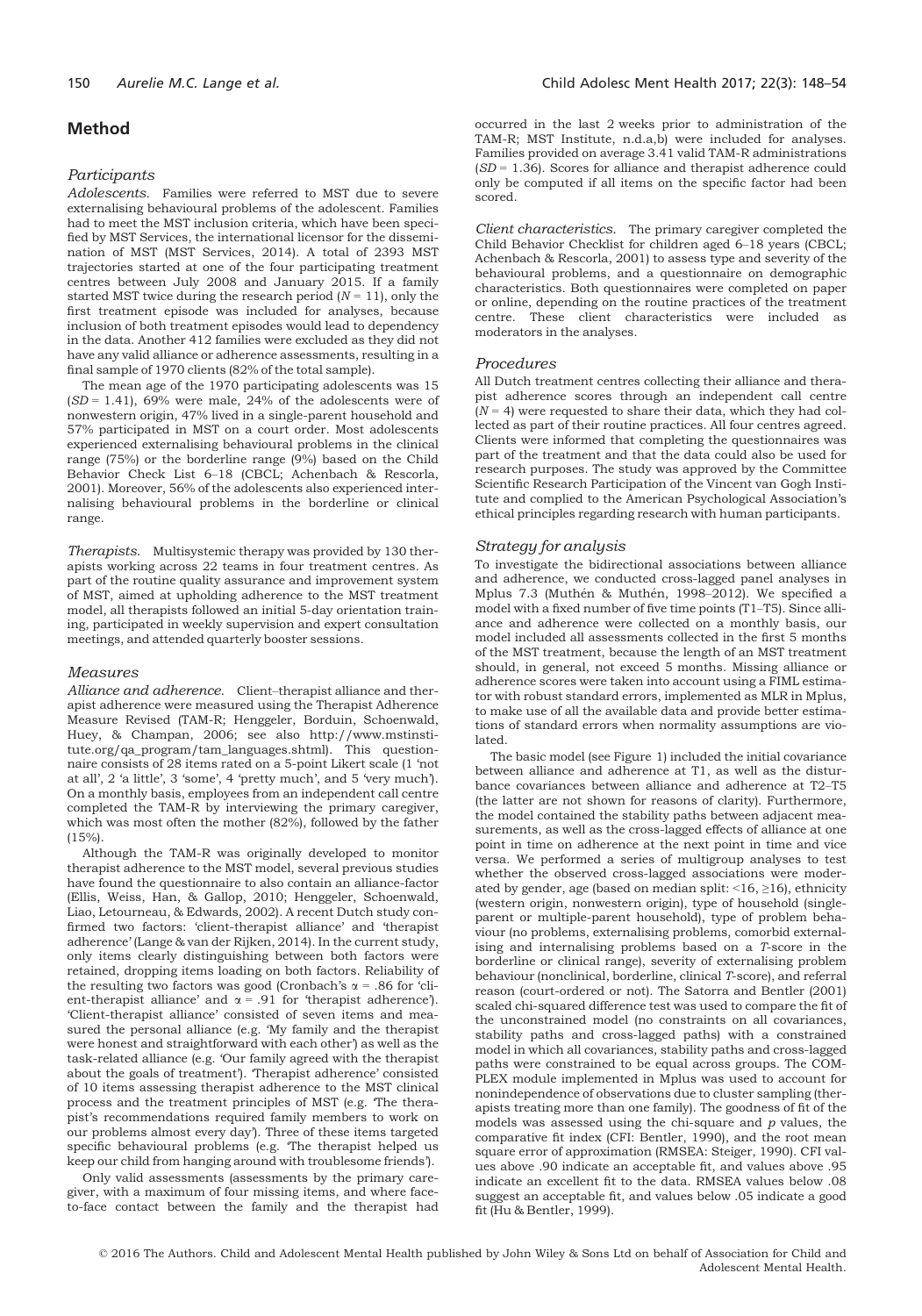# Method

#### Participants

Adolescents. Families were referred to MST due to severe externalising behavioural problems of the adolescent. Families had to meet the MST inclusion criteria, which have been specified by MST Services, the international licensor for the dissemination of MST (MST Services, 2014). A total of 2393 MST trajectories started at one of the four participating treatment centres between July 2008 and January 2015. If a family started MST twice during the research period  $(N = 11)$ , only the first treatment episode was included for analyses, because inclusion of both treatment episodes would lead to dependency in the data. Another 412 families were excluded as they did not have any valid alliance or adherence assessments, resulting in a final sample of 1970 clients (82% of the total sample).

The mean age of the 1970 participating adolescents was 15  $(SD = 1.41)$ , 69% were male, 24% of the adolescents were of nonwestern origin, 47% lived in a single-parent household and 57% participated in MST on a court order. Most adolescents experienced externalising behavioural problems in the clinical range (75%) or the borderline range (9%) based on the Child Behavior Check List 6–18 (CBCL; Achenbach & Rescorla, 2001). Moreover, 56% of the adolescents also experienced internalising behavioural problems in the borderline or clinical range.

Therapists. Multisystemic therapy was provided by 130 therapists working across 22 teams in four treatment centres. As part of the routine quality assurance and improvement system of MST, aimed at upholding adherence to the MST treatment model, all therapists followed an initial 5-day orientation training, participated in weekly supervision and expert consultation meetings, and attended quarterly booster sessions.

#### Measures

Alliance and adherence. Client–therapist alliance and therapist adherence were measured using the Therapist Adherence Measure Revised (TAM-R; Henggeler, Borduin, Schoenwald, Huey, & Champan, 2006; see also [http://www.mstinsti](http://www.mstinstitute.org/qa_program/tam_languages.shtml)[tute.org/qa\\_program/tam\\_languages.shtml](http://www.mstinstitute.org/qa_program/tam_languages.shtml)). This questionnaire consists of 28 items rated on a 5-point Likert scale (1 'not at all', 2 'a little', 3 'some', 4 'pretty much', and 5 'very much'). On a monthly basis, employees from an independent call centre completed the TAM-R by interviewing the primary caregiver, which was most often the mother (82%), followed by the father  $(15%)$ .

Although the TAM-R was originally developed to monitor therapist adherence to the MST model, several previous studies have found the questionnaire to also contain an alliance-factor (Ellis, Weiss, Han, & Gallop, 2010; Henggeler, Schoenwald, Liao, Letourneau, & Edwards, 2002). A recent Dutch study confirmed two factors: 'client-therapist alliance' and 'therapist adherence' (Lange & van der Rijken, 2014). In the current study, only items clearly distinguishing between both factors were retained, dropping items loading on both factors. Reliability of the resulting two factors was good (Cronbach's  $\alpha$  = .86 for 'client-therapist alliance' and  $\alpha$  = .91 for 'therapist adherence'). 'Client-therapist alliance' consisted of seven items and measured the personal alliance (e.g. 'My family and the therapist were honest and straightforward with each other') as well as the task-related alliance (e.g. 'Our family agreed with the therapist about the goals of treatment'). 'Therapist adherence' consisted of 10 items assessing therapist adherence to the MST clinical process and the treatment principles of MST (e.g. 'The therapist's recommendations required family members to work on our problems almost every day'). Three of these items targeted specific behavioural problems (e.g. 'The therapist helped us keep our child from hanging around with troublesome friends').

Only valid assessments (assessments by the primary caregiver, with a maximum of four missing items, and where faceto-face contact between the family and the therapist had

occurred in the last 2 weeks prior to administration of the TAM-R; MST Institute, n.d.a,b) were included for analyses. Families provided on average 3.41 valid TAM-R administrations  $(SD = 1.36)$ . Scores for alliance and therapist adherence could only be computed if all items on the specific factor had been scored.

Client characteristics. The primary caregiver completed the Child Behavior Checklist for children aged 6–18 years (CBCL; Achenbach & Rescorla, 2001) to assess type and severity of the behavioural problems, and a questionnaire on demographic characteristics. Both questionnaires were completed on paper or online, depending on the routine practices of the treatment centre. These client characteristics were included as moderators in the analyses.

#### Procedures

All Dutch treatment centres collecting their alliance and therapist adherence scores through an independent call centre  $(N = 4)$  were requested to share their data, which they had collected as part of their routine practices. All four centres agreed. Clients were informed that completing the questionnaires was part of the treatment and that the data could also be used for research purposes. The study was approved by the Committee Scientific Research Participation of the Vincent van Gogh Institute and complied to the American Psychological Association's ethical principles regarding research with human participants.

#### Strategy for analysis

To investigate the bidirectional associations between alliance and adherence, we conducted cross-lagged panel analyses in Mplus 7.3 (Muth en & Muth en, 1998–2012). We specified a model with a fixed number of five time points (T1–T5). Since alliance and adherence were collected on a monthly basis, our model included all assessments collected in the first 5 months of the MST treatment, because the length of an MST treatment should, in general, not exceed 5 months. Missing alliance or adherence scores were taken into account using a FIML estimator with robust standard errors, implemented as MLR in Mplus, to make use of all the available data and provide better estimations of standard errors when normality assumptions are violated.

The basic model (see Figure 1) included the initial covariance between alliance and adherence at T1, as well as the disturbance covariances between alliance and adherence at T2–T5 (the latter are not shown for reasons of clarity). Furthermore, the model contained the stability paths between adjacent measurements, as well as the cross-lagged effects of alliance at one point in time on adherence at the next point in time and vice versa. We performed a series of multigroup analyses to test whether the observed cross-lagged associations were moderated by gender, age (based on median split: <16, ≥16), ethnicity (western origin, nonwestern origin), type of household (singleparent or multiple-parent household), type of problem behaviour (no problems, externalising problems, comorbid externalising and internalising problems based on a T-score in the borderline or clinical range), severity of externalising problem behaviour (nonclinical, borderline, clinical T-score), and referral reason (court-ordered or not). The Satorra and Bentler (2001) scaled chi-squared difference test was used to compare the fit of the unconstrained model (no constraints on all covariances, stability paths and cross-lagged paths) with a constrained model in which all covariances, stability paths and cross-lagged paths were constrained to be equal across groups. The COM-PLEX module implemented in Mplus was used to account for nonindependence of observations due to cluster sampling (therapists treating more than one family). The goodness of fit of the models was assessed using the chi-square and  $p$  values, the comparative fit index (CFI: Bentler, 1990), and the root mean square error of approximation (RMSEA: Steiger, 1990). CFI values above .90 indicate an acceptable fit, and values above .95 indicate an excellent fit to the data. RMSEA values below .08 suggest an acceptable fit, and values below .05 indicate a good fit (Hu & Bentler, 1999).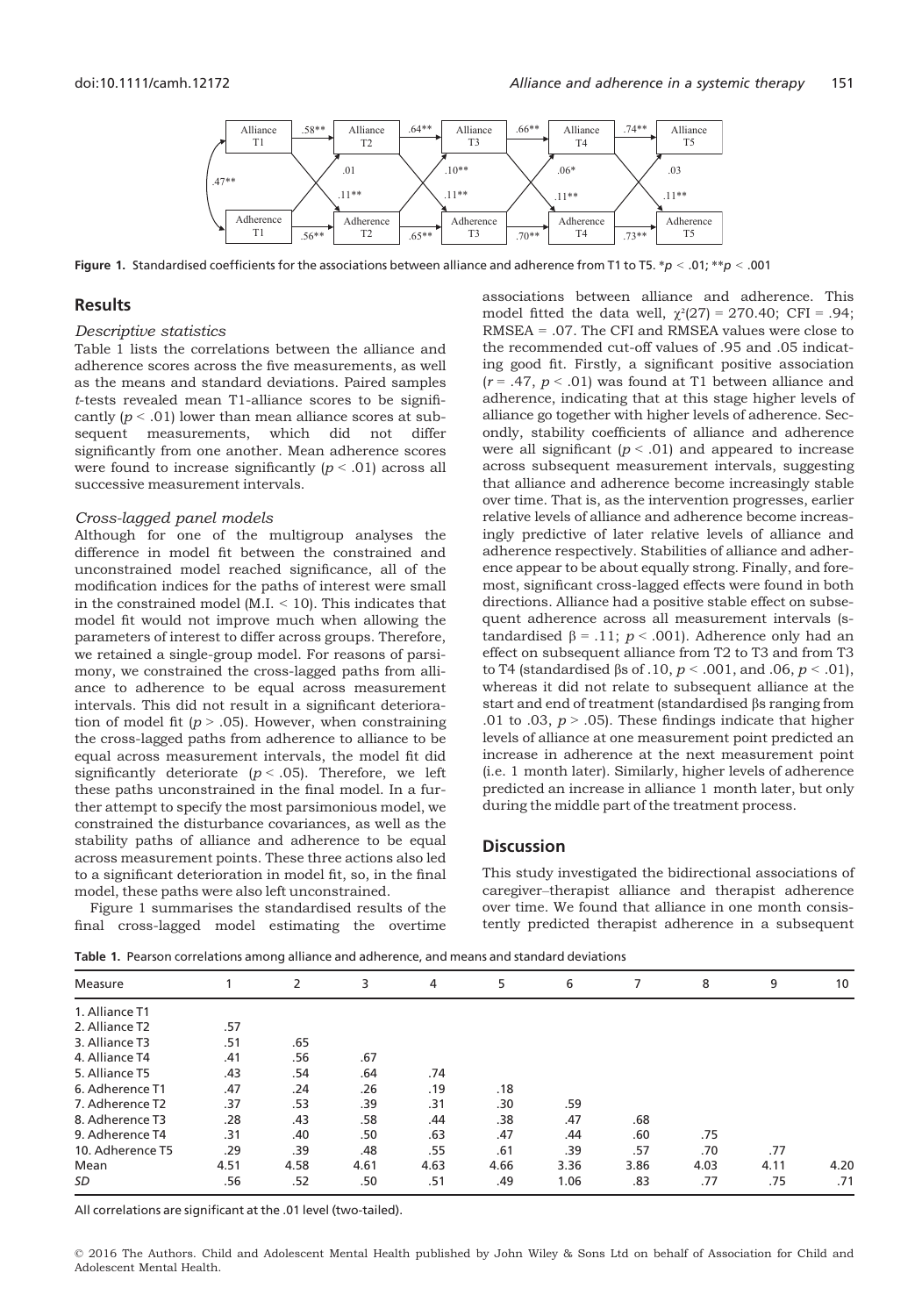

Figure 1. Standardised coefficients for the associations between alliance and adherence from T1 to T5. \*p < .01; \*\*p < .001

#### Results

#### Descriptive statistics

Table 1 lists the correlations between the alliance and adherence scores across the five measurements, as well as the means and standard deviations. Paired samples t-tests revealed mean T1-alliance scores to be significantly ( $p < .01$ ) lower than mean alliance scores at subsequent measurements, which did not differ significantly from one another. Mean adherence scores were found to increase significantly  $(p < .01)$  across all successive measurement intervals.

#### Cross-lagged panel models

Although for one of the multigroup analyses the difference in model fit between the constrained and unconstrained model reached significance, all of the modification indices for the paths of interest were small in the constrained model (M.I.  $<$  10). This indicates that model fit would not improve much when allowing the parameters of interest to differ across groups. Therefore, we retained a single-group model. For reasons of parsimony, we constrained the cross-lagged paths from alliance to adherence to be equal across measurement intervals. This did not result in a significant deterioration of model fit ( $p > .05$ ). However, when constraining the cross-lagged paths from adherence to alliance to be equal across measurement intervals, the model fit did significantly deteriorate ( $p < .05$ ). Therefore, we left these paths unconstrained in the final model. In a further attempt to specify the most parsimonious model, we constrained the disturbance covariances, as well as the stability paths of alliance and adherence to be equal across measurement points. These three actions also led to a significant deterioration in model fit, so, in the final model, these paths were also left unconstrained.

Figure 1 summarises the standardised results of the final cross-lagged model estimating the overtime associations between alliance and adherence. This model fitted the data well,  $\chi^2(27) = 270.40$ ; CFI = .94; RMSEA = .07. The CFI and RMSEA values were close to the recommended cut-off values of .95 and .05 indicating good fit. Firstly, a significant positive association  $(r = .47, p < .01)$  was found at T1 between alliance and adherence, indicating that at this stage higher levels of alliance go together with higher levels of adherence. Secondly, stability coefficients of alliance and adherence were all significant  $(p < .01)$  and appeared to increase across subsequent measurement intervals, suggesting that alliance and adherence become increasingly stable over time. That is, as the intervention progresses, earlier relative levels of alliance and adherence become increasingly predictive of later relative levels of alliance and adherence respectively. Stabilities of alliance and adherence appear to be about equally strong. Finally, and foremost, significant cross-lagged effects were found in both directions. Alliance had a positive stable effect on subsequent adherence across all measurement intervals (standardised  $\beta = .11$ ;  $p < .001$ ). Adherence only had an effect on subsequent alliance from T2 to T3 and from T3 to T4 (standardised  $\beta$ s of .10,  $p < .001$ , and .06,  $p < .01$ ), whereas it did not relate to subsequent alliance at the start and end of treatment (standardised  $\beta$ s ranging from .01 to .03,  $p > .05$ ). These findings indicate that higher levels of alliance at one measurement point predicted an increase in adherence at the next measurement point (i.e. 1 month later). Similarly, higher levels of adherence predicted an increase in alliance 1 month later, but only during the middle part of the treatment process.

# **Discussion**

This study investigated the bidirectional associations of caregiver–therapist alliance and therapist adherence over time. We found that alliance in one month consistently predicted therapist adherence in a subsequent

Table 1. Pearson correlations among alliance and adherence, and means and standard deviations

| Measure          |      | 2    | 3    | 4    | 5    | 6    |      | 8    | 9    | 10   |
|------------------|------|------|------|------|------|------|------|------|------|------|
| 1. Alliance T1   |      |      |      |      |      |      |      |      |      |      |
| 2. Alliance T2   | .57  |      |      |      |      |      |      |      |      |      |
| 3. Alliance T3   | .51  | .65  |      |      |      |      |      |      |      |      |
| 4. Alliance T4   | .41  | .56  | .67  |      |      |      |      |      |      |      |
| 5. Alliance T5   | .43  | .54  | .64  | .74  |      |      |      |      |      |      |
| 6. Adherence T1  | .47  | .24  | .26  | .19  | .18  |      |      |      |      |      |
| 7. Adherence T2  | .37  | .53  | .39  | .31  | .30  | .59  |      |      |      |      |
| 8. Adherence T3  | .28  | .43  | .58  | .44  | .38  | .47  | .68  |      |      |      |
| 9. Adherence T4  | .31  | .40  | .50  | .63  | .47  | .44  | .60  | .75  |      |      |
| 10. Adherence T5 | .29  | .39  | .48  | .55  | .61  | .39  | .57  | .70  | .77  |      |
| Mean             | 4.51 | 4.58 | 4.61 | 4.63 | 4.66 | 3.36 | 3.86 | 4.03 | 4.11 | 4.20 |
| SD               | .56  | .52  | .50  | .51  | .49  | 1.06 | .83  | .77  | .75  | .71  |

All correlations are significant at the .01 level (two-tailed).

© 2016 The Authors. Child and Adolescent Mental Health published by John Wiley & Sons Ltd on behalf of Association for Child and Adolescent Mental Health.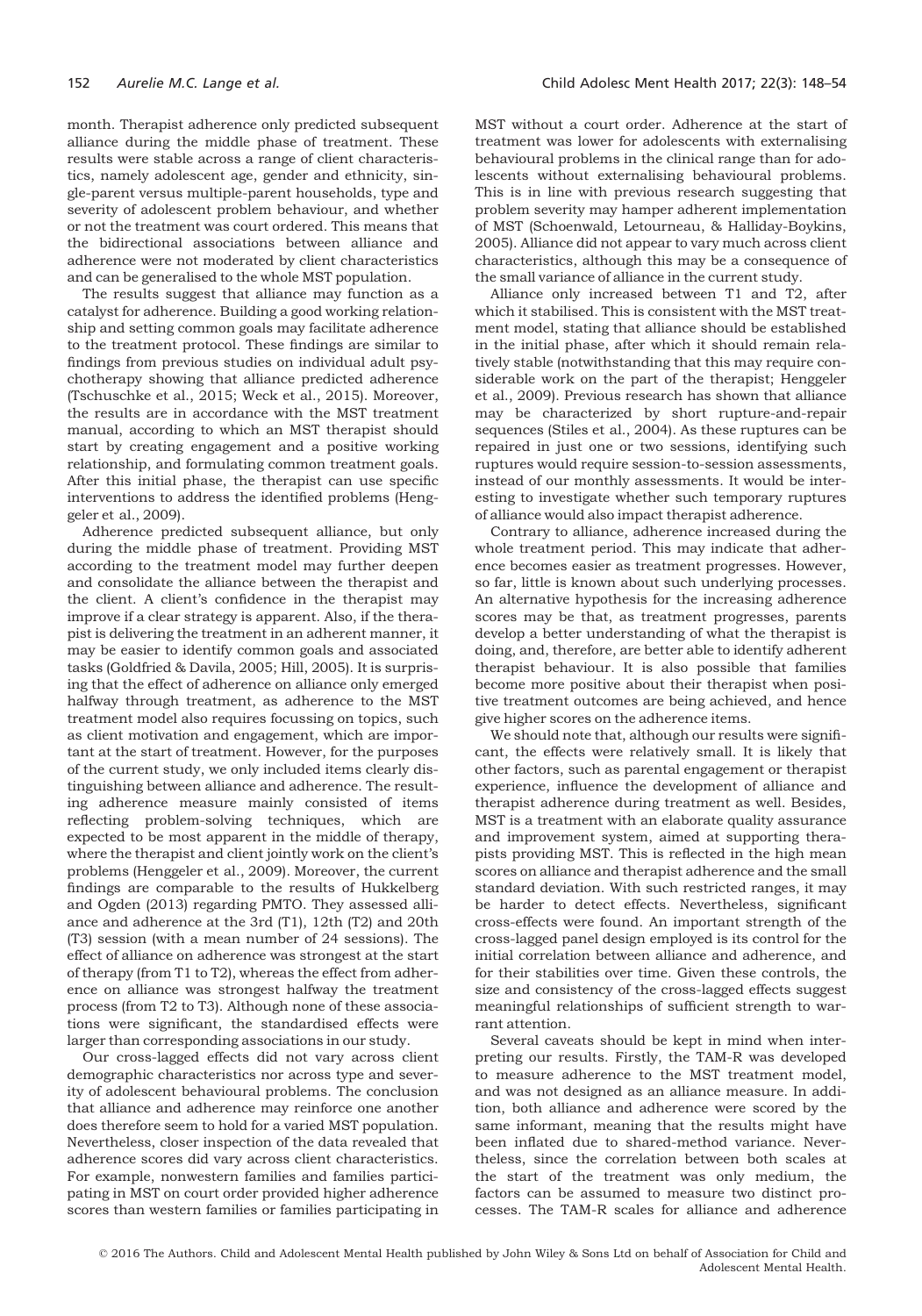month. Therapist adherence only predicted subsequent alliance during the middle phase of treatment. These results were stable across a range of client characteristics, namely adolescent age, gender and ethnicity, single-parent versus multiple-parent households, type and severity of adolescent problem behaviour, and whether or not the treatment was court ordered. This means that the bidirectional associations between alliance and adherence were not moderated by client characteristics and can be generalised to the whole MST population.

The results suggest that alliance may function as a catalyst for adherence. Building a good working relationship and setting common goals may facilitate adherence to the treatment protocol. These findings are similar to findings from previous studies on individual adult psychotherapy showing that alliance predicted adherence (Tschuschke et al., 2015; Weck et al., 2015). Moreover, the results are in accordance with the MST treatment manual, according to which an MST therapist should start by creating engagement and a positive working relationship, and formulating common treatment goals. After this initial phase, the therapist can use specific interventions to address the identified problems (Henggeler et al., 2009).

Adherence predicted subsequent alliance, but only during the middle phase of treatment. Providing MST according to the treatment model may further deepen and consolidate the alliance between the therapist and the client. A client's confidence in the therapist may improve if a clear strategy is apparent. Also, if the therapist is delivering the treatment in an adherent manner, it may be easier to identify common goals and associated tasks (Goldfried & Davila, 2005; Hill, 2005). It is surprising that the effect of adherence on alliance only emerged halfway through treatment, as adherence to the MST treatment model also requires focussing on topics, such as client motivation and engagement, which are important at the start of treatment. However, for the purposes of the current study, we only included items clearly distinguishing between alliance and adherence. The resulting adherence measure mainly consisted of items reflecting problem-solving techniques, which are expected to be most apparent in the middle of therapy, where the therapist and client jointly work on the client's problems (Henggeler et al., 2009). Moreover, the current findings are comparable to the results of Hukkelberg and Ogden (2013) regarding PMTO. They assessed alliance and adherence at the 3rd (T1), 12th (T2) and 20th (T3) session (with a mean number of 24 sessions). The effect of alliance on adherence was strongest at the start of therapy (from T1 to T2), whereas the effect from adherence on alliance was strongest halfway the treatment process (from T2 to T3). Although none of these associations were significant, the standardised effects were larger than corresponding associations in our study.

Our cross-lagged effects did not vary across client demographic characteristics nor across type and severity of adolescent behavioural problems. The conclusion that alliance and adherence may reinforce one another does therefore seem to hold for a varied MST population. Nevertheless, closer inspection of the data revealed that adherence scores did vary across client characteristics. For example, nonwestern families and families participating in MST on court order provided higher adherence scores than western families or families participating in

MST without a court order. Adherence at the start of treatment was lower for adolescents with externalising behavioural problems in the clinical range than for adolescents without externalising behavioural problems. This is in line with previous research suggesting that problem severity may hamper adherent implementation of MST (Schoenwald, Letourneau, & Halliday-Boykins, 2005). Alliance did not appear to vary much across client characteristics, although this may be a consequence of the small variance of alliance in the current study.

Alliance only increased between T1 and T2, after which it stabilised. This is consistent with the MST treatment model, stating that alliance should be established in the initial phase, after which it should remain relatively stable (notwithstanding that this may require considerable work on the part of the therapist; Henggeler et al., 2009). Previous research has shown that alliance may be characterized by short rupture-and-repair sequences (Stiles et al., 2004). As these ruptures can be repaired in just one or two sessions, identifying such ruptures would require session-to-session assessments, instead of our monthly assessments. It would be interesting to investigate whether such temporary ruptures of alliance would also impact therapist adherence.

Contrary to alliance, adherence increased during the whole treatment period. This may indicate that adherence becomes easier as treatment progresses. However, so far, little is known about such underlying processes. An alternative hypothesis for the increasing adherence scores may be that, as treatment progresses, parents develop a better understanding of what the therapist is doing, and, therefore, are better able to identify adherent therapist behaviour. It is also possible that families become more positive about their therapist when positive treatment outcomes are being achieved, and hence give higher scores on the adherence items.

We should note that, although our results were significant, the effects were relatively small. It is likely that other factors, such as parental engagement or therapist experience, influence the development of alliance and therapist adherence during treatment as well. Besides, MST is a treatment with an elaborate quality assurance and improvement system, aimed at supporting therapists providing MST. This is reflected in the high mean scores on alliance and therapist adherence and the small standard deviation. With such restricted ranges, it may be harder to detect effects. Nevertheless, significant cross-effects were found. An important strength of the cross-lagged panel design employed is its control for the initial correlation between alliance and adherence, and for their stabilities over time. Given these controls, the size and consistency of the cross-lagged effects suggest meaningful relationships of sufficient strength to warrant attention.

Several caveats should be kept in mind when interpreting our results. Firstly, the TAM-R was developed to measure adherence to the MST treatment model, and was not designed as an alliance measure. In addition, both alliance and adherence were scored by the same informant, meaning that the results might have been inflated due to shared-method variance. Nevertheless, since the correlation between both scales at the start of the treatment was only medium, the factors can be assumed to measure two distinct processes. The TAM-R scales for alliance and adherence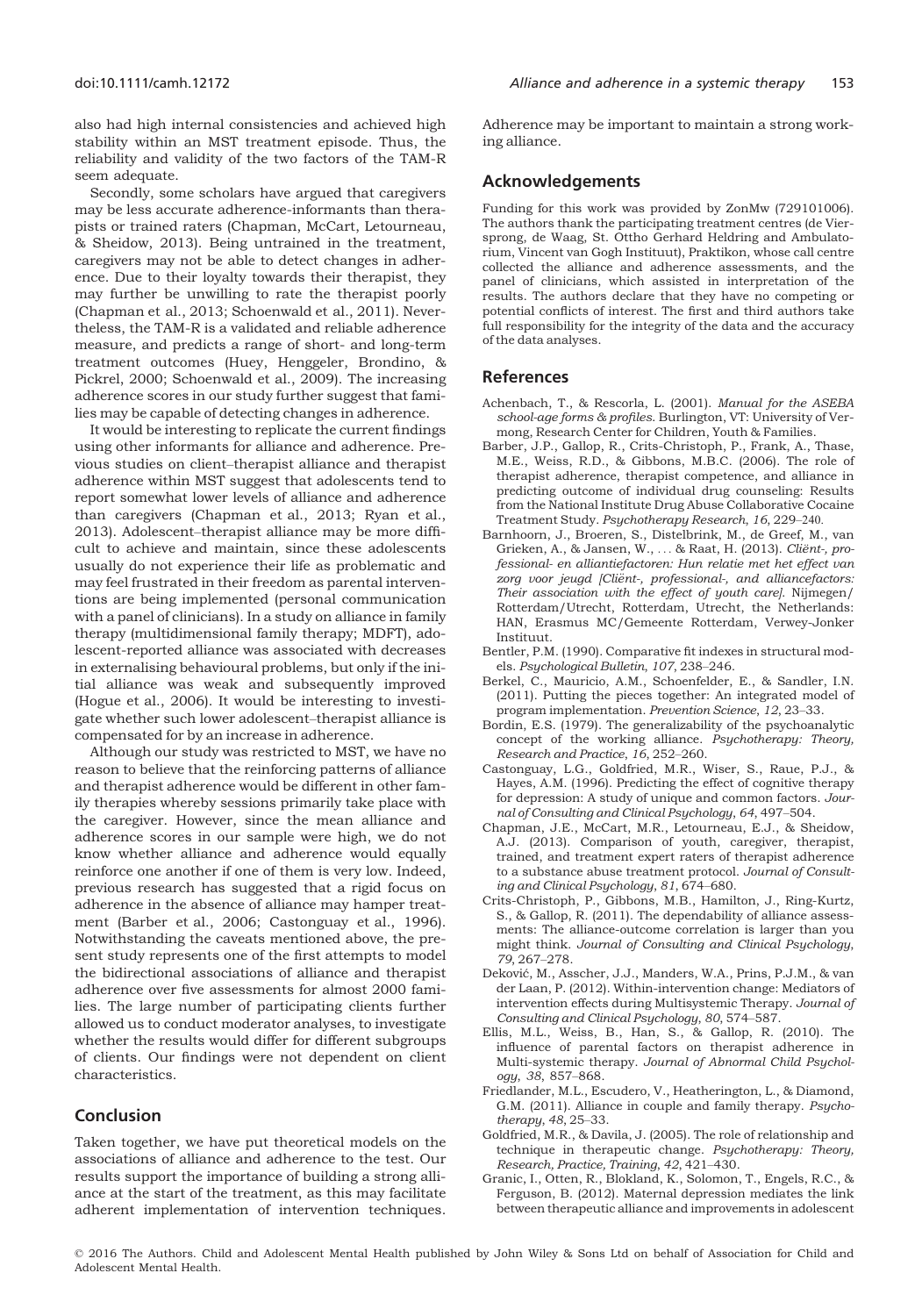also had high internal consistencies and achieved high stability within an MST treatment episode. Thus, the reliability and validity of the two factors of the TAM-R seem adequate.

Secondly, some scholars have argued that caregivers may be less accurate adherence-informants than therapists or trained raters (Chapman, McCart, Letourneau, & Sheidow, 2013). Being untrained in the treatment, caregivers may not be able to detect changes in adherence. Due to their loyalty towards their therapist, they may further be unwilling to rate the therapist poorly (Chapman et al., 2013; Schoenwald et al., 2011). Nevertheless, the TAM-R is a validated and reliable adherence measure, and predicts a range of short- and long-term treatment outcomes (Huey, Henggeler, Brondino, & Pickrel, 2000; Schoenwald et al., 2009). The increasing adherence scores in our study further suggest that families may be capable of detecting changes in adherence.

It would be interesting to replicate the current findings using other informants for alliance and adherence. Previous studies on client–therapist alliance and therapist adherence within MST suggest that adolescents tend to report somewhat lower levels of alliance and adherence than caregivers (Chapman et al., 2013; Ryan et al., 2013). Adolescent–therapist alliance may be more difficult to achieve and maintain, since these adolescents usually do not experience their life as problematic and may feel frustrated in their freedom as parental interventions are being implemented (personal communication with a panel of clinicians). In a study on alliance in family therapy (multidimensional family therapy; MDFT), adolescent-reported alliance was associated with decreases in externalising behavioural problems, but only if the initial alliance was weak and subsequently improved (Hogue et al., 2006). It would be interesting to investigate whether such lower adolescent–therapist alliance is compensated for by an increase in adherence.

Although our study was restricted to MST, we have no reason to believe that the reinforcing patterns of alliance and therapist adherence would be different in other family therapies whereby sessions primarily take place with the caregiver. However, since the mean alliance and adherence scores in our sample were high, we do not know whether alliance and adherence would equally reinforce one another if one of them is very low. Indeed, previous research has suggested that a rigid focus on adherence in the absence of alliance may hamper treatment (Barber et al., 2006; Castonguay et al., 1996). Notwithstanding the caveats mentioned above, the present study represents one of the first attempts to model the bidirectional associations of alliance and therapist adherence over five assessments for almost 2000 families. The large number of participating clients further allowed us to conduct moderator analyses, to investigate whether the results would differ for different subgroups of clients. Our findings were not dependent on client characteristics.

# Conclusion

Taken together, we have put theoretical models on the associations of alliance and adherence to the test. Our results support the importance of building a strong alliance at the start of the treatment, as this may facilitate adherent implementation of intervention techniques.

Adherence may be important to maintain a strong working alliance.

## Acknowledgements

Funding for this work was provided by ZonMw (729101006). The authors thank the participating treatment centres (de Viersprong, de Waag, St. Ottho Gerhard Heldring and Ambulatorium, Vincent van Gogh Instituut), Praktikon, whose call centre collected the alliance and adherence assessments, and the panel of clinicians, which assisted in interpretation of the results. The authors declare that they have no competing or potential conflicts of interest. The first and third authors take full responsibility for the integrity of the data and the accuracy of the data analyses.

### References

- Achenbach, T., & Rescorla, L. (2001). Manual for the ASEBA school-age forms & profiles. Burlington, VT: University of Vermong, Research Center for Children, Youth & Families.
- Barber, J.P., Gallop, R., Crits-Christoph, P., Frank, A., Thase, M.E., Weiss, R.D., & Gibbons, M.B.C. (2006). The role of therapist adherence, therapist competence, and alliance in predicting outcome of individual drug counseling: Results from the National Institute Drug Abuse Collaborative Cocaine Treatment Study. Psychotherapy Research, 16, 229–240.
- Barnhoorn, J., Broeren, S., Distelbrink, M., de Greef, M., van Grieken, A., & Jansen, W., ... & Raat, H. (2013). Client-, professional- en alliantiefactoren: Hun relatie met het effect van zorg voor jeugd [Cliënt-, professional-, and alliancefactors: Their association with the effect of youth care]. Nijmegen/ Rotterdam/Utrecht, Rotterdam, Utrecht, the Netherlands: HAN, Erasmus MC/Gemeente Rotterdam, Verwey-Jonker Instituut.
- Bentler, P.M. (1990). Comparative fit indexes in structural models. Psychological Bulletin, 107, 238–246.
- Berkel, C., Mauricio, A.M., Schoenfelder, E., & Sandler, I.N. (2011). Putting the pieces together: An integrated model of program implementation. Prevention Science, 12, 23–33.
- Bordin, E.S. (1979). The generalizability of the psychoanalytic concept of the working alliance. Psychotherapy: Theory, Research and Practice, 16, 252–260.
- Castonguay, L.G., Goldfried, M.R., Wiser, S., Raue, P.J., & Hayes, A.M. (1996). Predicting the effect of cognitive therapy for depression: A study of unique and common factors. Journal of Consulting and Clinical Psychology, 64, 497–504.
- Chapman, J.E., McCart, M.R., Letourneau, E.J., & Sheidow, A.J. (2013). Comparison of youth, caregiver, therapist, trained, and treatment expert raters of therapist adherence to a substance abuse treatment protocol. Journal of Consulting and Clinical Psychology, 81, 674–680.
- Crits-Christoph, P., Gibbons, M.B., Hamilton, J., Ring-Kurtz, S., & Gallop, R. (2011). The dependability of alliance assessments: The alliance-outcome correlation is larger than you might think. Journal of Consulting and Clinical Psychology, 79, 267–278.
- Dekovic, M., Asscher, J.J., Manders, W.A., Prins, P.J.M., & van der Laan, P. (2012). Within-intervention change: Mediators of intervention effects during Multisystemic Therapy. Journal of Consulting and Clinical Psychology, 80, 574–587.
- Ellis, M.L., Weiss, B., Han, S., & Gallop, R. (2010). The influence of parental factors on therapist adherence in Multi-systemic therapy. Journal of Abnormal Child Psychology, 38, 857–868.
- Friedlander, M.L., Escudero, V., Heatherington, L., & Diamond, G.M. (2011). Alliance in couple and family therapy. Psychotherapy, 48, 25–33.
- Goldfried, M.R., & Davila, J. (2005). The role of relationship and technique in therapeutic change. Psychotherapy: Theory, Research, Practice, Training, 42, 421–430.
- Granic, I., Otten, R., Blokland, K., Solomon, T., Engels, R.C., & Ferguson, B. (2012). Maternal depression mediates the link between therapeutic alliance and improvements in adolescent

© 2016 The Authors. Child and Adolescent Mental Health published by John Wiley & Sons Ltd on behalf of Association for Child and Adolescent Mental Health.